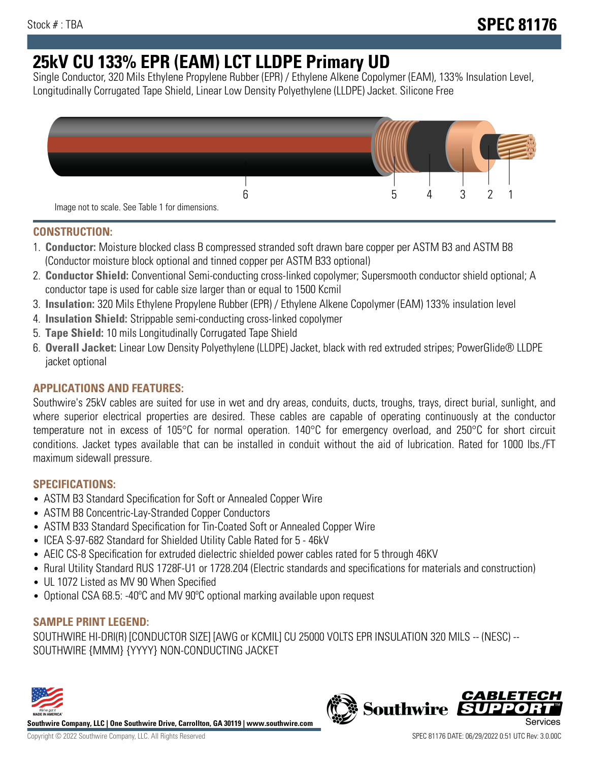# **25kV CU 133% EPR (EAM) LCT LLDPE Primary UD**

Single Conductor, 320 Mils Ethylene Propylene Rubber (EPR) / Ethylene Alkene Copolymer (EAM), 133% Insulation Level, Longitudinally Corrugated Tape Shield, Linear Low Density Polyethylene (LLDPE) Jacket. Silicone Free



## **CONSTRUCTION:**

- 1. **Conductor:** Moisture blocked class B compressed stranded soft drawn bare copper per ASTM B3 and ASTM B8 (Conductor moisture block optional and tinned copper per ASTM B33 optional)
- 2. **Conductor Shield:** Conventional Semi-conducting cross-linked copolymer; Supersmooth conductor shield optional; A conductor tape is used for cable size larger than or equal to 1500 Kcmil
- 3. **Insulation:** 320 Mils Ethylene Propylene Rubber (EPR) / Ethylene Alkene Copolymer (EAM) 133% insulation level
- 4. **Insulation Shield:** Strippable semi-conducting cross-linked copolymer
- 5. **Tape Shield:** 10 mils Longitudinally Corrugated Tape Shield
- 6. **Overall Jacket:** Linear Low Density Polyethylene (LLDPE) Jacket, black with red extruded stripes; PowerGlide® LLDPE jacket optional

## **APPLICATIONS AND FEATURES:**

Southwire's 25kV cables are suited for use in wet and dry areas, conduits, ducts, troughs, trays, direct burial, sunlight, and where superior electrical properties are desired. These cables are capable of operating continuously at the conductor temperature not in excess of 105°C for normal operation. 140°C for emergency overload, and 250°C for short circuit conditions. Jacket types available that can be installed in conduit without the aid of lubrication. Rated for 1000 lbs./FT maximum sidewall pressure.

## **SPECIFICATIONS:**

- ASTM B3 Standard Specification for Soft or Annealed Copper Wire
- ASTM B8 Concentric-Lay-Stranded Copper Conductors
- ASTM B33 Standard Specification for Tin-Coated Soft or Annealed Copper Wire
- ICEA S-97-682 Standard for Shielded Utility Cable Rated for 5 46kV
- AEIC CS-8 Specification for extruded dielectric shielded power cables rated for 5 through 46KV
- Rural Utility Standard RUS 1728F-U1 or 1728.204 (Electric standards and specifications for materials and construction)
- UL 1072 Listed as MV 90 When Specified
- Optional CSA 68.5: -40ºC and MV 90ºC optional marking available upon request

## **SAMPLE PRINT LEGEND:**

SOUTHWIRE HI-DRI(R) [CONDUCTOR SIZE] [AWG or KCMIL] CU 25000 VOLTS EPR INSULATION 320 MILS -- (NESC) -- SOUTHWIRE {MMM} {YYYY} NON-CONDUCTING JACKET



**Southwire Company, LLC | One Southwire Drive, Carrollton, GA 30119 | www.southwire.com**